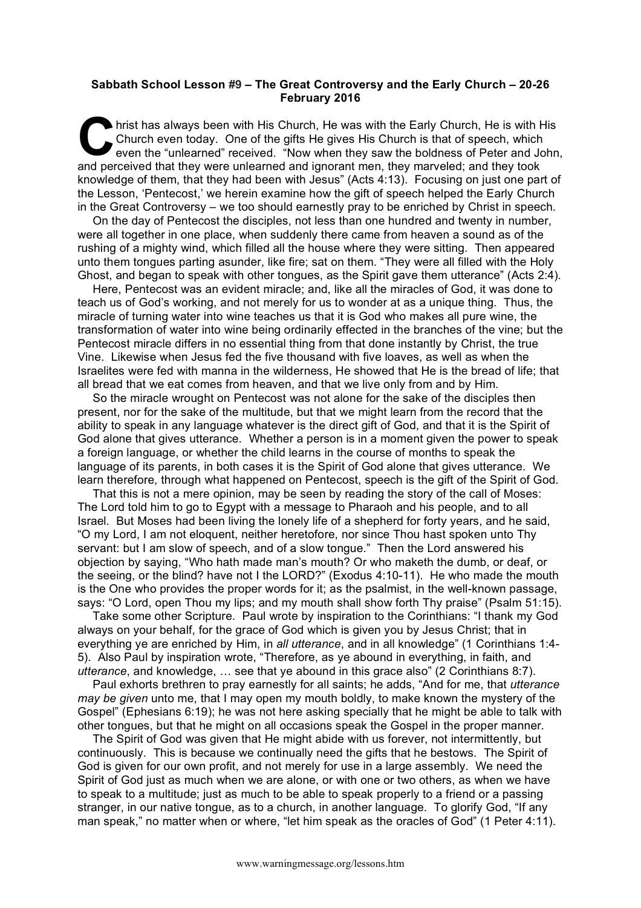## **Sabbath School Lesson #9 – The Great Controversy and the Early Church – 20-26 February 2016**

hrist has always been with His Church, He was with the Early Church, He is with His Church even today. One of the gifts He gives His Church is that of speech, which even the "unlearned" received. "Now when they saw the bol Church even today. One of the gifts He gives His Church is that of speech, which even the "unlearned" received. "Now when they saw the boldness of Peter and John, and perceived that they were unlearned and ignorant men, they marveled; and they took knowledge of them, that they had been with Jesus" (Acts 4:13). Focusing on just one part of the Lesson, 'Pentecost,' we herein examine how the gift of speech helped the Early Church in the Great Controversy – we too should earnestly pray to be enriched by Christ in speech.

On the day of Pentecost the disciples, not less than one hundred and twenty in number, were all together in one place, when suddenly there came from heaven a sound as of the rushing of a mighty wind, which filled all the house where they were sitting. Then appeared unto them tongues parting asunder, like fire; sat on them. "They were all filled with the Holy Ghost, and began to speak with other tongues, as the Spirit gave them utterance" (Acts 2:4).

Here, Pentecost was an evident miracle; and, like all the miracles of God, it was done to teach us of God's working, and not merely for us to wonder at as a unique thing. Thus, the miracle of turning water into wine teaches us that it is God who makes all pure wine, the transformation of water into wine being ordinarily effected in the branches of the vine; but the Pentecost miracle differs in no essential thing from that done instantly by Christ, the true Vine. Likewise when Jesus fed the five thousand with five loaves, as well as when the Israelites were fed with manna in the wilderness, He showed that He is the bread of life; that all bread that we eat comes from heaven, and that we live only from and by Him.

So the miracle wrought on Pentecost was not alone for the sake of the disciples then present, nor for the sake of the multitude, but that we might learn from the record that the ability to speak in any language whatever is the direct gift of God, and that it is the Spirit of God alone that gives utterance. Whether a person is in a moment given the power to speak a foreign language, or whether the child learns in the course of months to speak the language of its parents, in both cases it is the Spirit of God alone that gives utterance. We learn therefore, through what happened on Pentecost, speech is the gift of the Spirit of God.

That this is not a mere opinion, may be seen by reading the story of the call of Moses: The Lord told him to go to Egypt with a message to Pharaoh and his people, and to all Israel. But Moses had been living the lonely life of a shepherd for forty years, and he said, "O my Lord, I am not eloquent, neither heretofore, nor since Thou hast spoken unto Thy servant: but I am slow of speech, and of a slow tongue." Then the Lord answered his objection by saying, "Who hath made man's mouth? Or who maketh the dumb, or deaf, or the seeing, or the blind? have not I the LORD?" (Exodus 4:10-11). He who made the mouth is the One who provides the proper words for it; as the psalmist, in the well-known passage, says: "O Lord, open Thou my lips; and my mouth shall show forth Thy praise" (Psalm 51:15).

Take some other Scripture. Paul wrote by inspiration to the Corinthians: "I thank my God always on your behalf, for the grace of God which is given you by Jesus Christ; that in everything ye are enriched by Him, in *all utterance*, and in all knowledge" (1 Corinthians 1:4- 5). Also Paul by inspiration wrote, "Therefore, as ye abound in everything, in faith, and *utterance*, and knowledge, … see that ye abound in this grace also" (2 Corinthians 8:7).

Paul exhorts brethren to pray earnestly for all saints; he adds, "And for me, that *utterance may be given* unto me, that I may open my mouth boldly, to make known the mystery of the Gospel" (Ephesians 6:19); he was not here asking specially that he might be able to talk with other tongues, but that he might on all occasions speak the Gospel in the proper manner.

The Spirit of God was given that He might abide with us forever, not intermittently, but continuously. This is because we continually need the gifts that he bestows. The Spirit of God is given for our own profit, and not merely for use in a large assembly. We need the Spirit of God just as much when we are alone, or with one or two others, as when we have to speak to a multitude; just as much to be able to speak properly to a friend or a passing stranger, in our native tongue, as to a church, in another language. To glorify God, "If any man speak," no matter when or where, "let him speak as the oracles of God" (1 Peter 4:11).